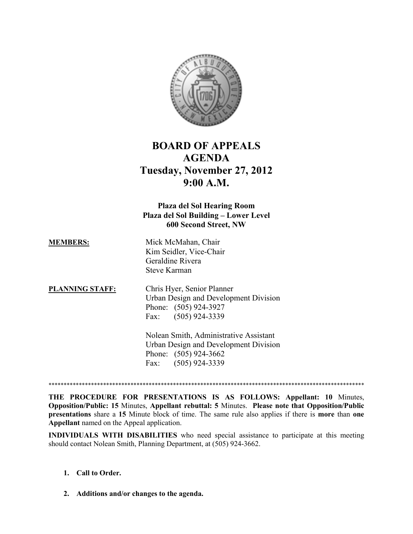

# BOARD OF APPEALS AGENDA Tuesday, November 27, 2012 9:00 A.M.

## Plaza del Sol Hearing Room Plaza del Sol Building – Lower Level 600 Second Street, NW

| <b>MEMBERS:</b> | Mick McMahan, Chair     |
|-----------------|-------------------------|
|                 | Kim Seidler, Vice-Chair |
|                 | Geraldine Rivera        |
|                 | <b>Steve Karman</b>     |

PLANNING STAFF: Chris Hyer, Senior Planner Urban Design and Development Division Phone: (505) 924-3927 Fax: (505) 924-3339

> Nolean Smith, Administrative Assistant Urban Design and Development Division Phone: (505) 924-3662 Fax: (505) 924-3339

\*\*\*\*\*\*\*\*\*\*\*\*\*\*\*\*\*\*\*\*\*\*\*\*\*\*\*\*\*\*\*\*\*\*\*\*\*\*\*\*\*\*\*\*\*\*\*\*\*\*\*\*\*\*\*\*\*\*\*\*\*\*\*\*\*\*\*\*\*\*\*\*\*\*\*\*\*\*\*\*\*\*\*\*\*\*\*\*\*\*\*\*\*\*\*\*\*\*\*\*\*\*\*\*

THE PROCEDURE FOR PRESENTATIONS IS AS FOLLOWS: Appellant: 10 Minutes, Opposition/Public: 15 Minutes, Appellant rebuttal: 5 Minutes. Please note that Opposition/Public presentations share a 15 Minute block of time. The same rule also applies if there is more than one Appellant named on the Appeal application.

INDIVIDUALS WITH DISABILITIES who need special assistance to participate at this meeting should contact Nolean Smith, Planning Department, at (505) 924-3662.

### 1. Call to Order.

2. Additions and/or changes to the agenda.